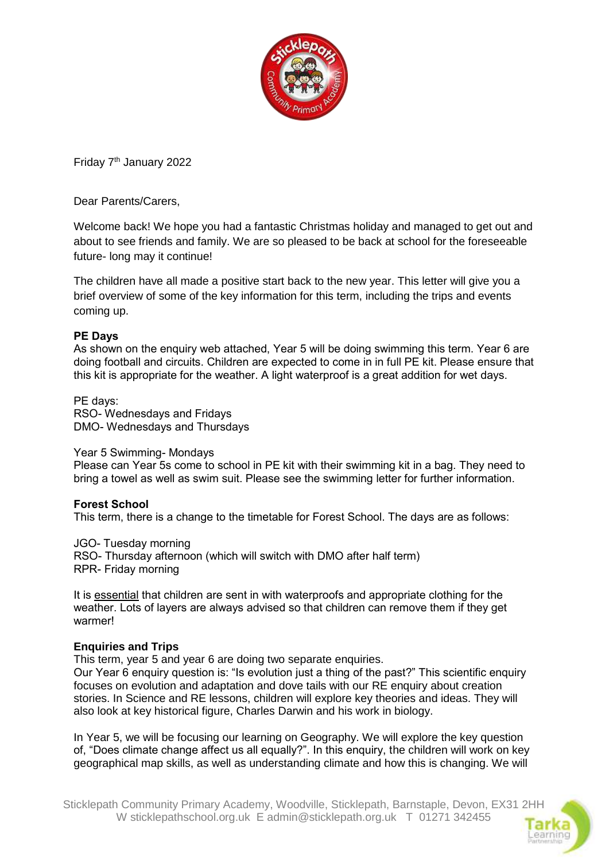

Friday 7th January 2022

Dear Parents/Carers,

Welcome back! We hope you had a fantastic Christmas holiday and managed to get out and about to see friends and family. We are so pleased to be back at school for the foreseeable future- long may it continue!

The children have all made a positive start back to the new year. This letter will give you a brief overview of some of the key information for this term, including the trips and events coming up.

## **PE Days**

As shown on the enquiry web attached, Year 5 will be doing swimming this term. Year 6 are doing football and circuits. Children are expected to come in in full PE kit. Please ensure that this kit is appropriate for the weather. A light waterproof is a great addition for wet days.

PE days: RSO- Wednesdays and Fridays DMO- Wednesdays and Thursdays

## Year 5 Swimming- Mondays

Please can Year 5s come to school in PE kit with their swimming kit in a bag. They need to bring a towel as well as swim suit. Please see the swimming letter for further information.

## **Forest School**

This term, there is a change to the timetable for Forest School. The days are as follows:

JGO- Tuesday morning RSO- Thursday afternoon (which will switch with DMO after half term) RPR- Friday morning

It is essential that children are sent in with waterproofs and appropriate clothing for the weather. Lots of layers are always advised so that children can remove them if they get warmer!

## **Enquiries and Trips**

This term, year 5 and year 6 are doing two separate enquiries.

Our Year 6 enquiry question is: "Is evolution just a thing of the past?" This scientific enquiry focuses on evolution and adaptation and dove tails with our RE enquiry about creation stories. In Science and RE lessons, children will explore key theories and ideas. They will also look at key historical figure, Charles Darwin and his work in biology.

In Year 5, we will be focusing our learning on Geography. We will explore the key question of, "Does climate change affect us all equally?". In this enquiry, the children will work on key geographical map skills, as well as understanding climate and how this is changing. We will